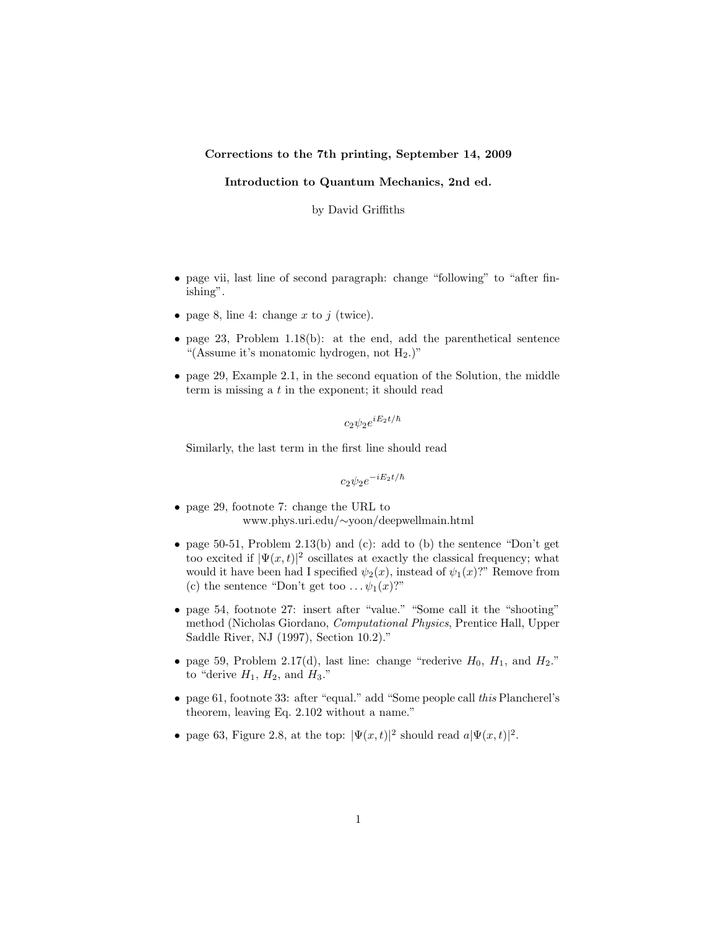## Corrections to the 7th printing, September 14, 2009

## Introduction to Quantum Mechanics, 2nd ed.

by David Griffiths

- page vii, last line of second paragraph: change "following" to "after finishing".
- page 8, line 4: change x to j (twice).
- page 23, Problem 1.18(b): at the end, add the parenthetical sentence "(Assume it's monatomic hydrogen, not  $H_2$ .)"
- page 29, Example 2.1, in the second equation of the Solution, the middle term is missing a t in the exponent; it should read

 $c_2 \psi_2 e^{iE_2 t/\hbar}$ 

Similarly, the last term in the first line should read

 $c_2 \psi_2 e^{-iE_2 t/\hbar}$ 

- page 29, footnote 7: change the URL to www.phys.uri.edu/∼yoon/deepwellmain.html
- page 50-51, Problem 2.13(b) and (c): add to (b) the sentence "Don't get too excited if  $|\Psi(x,t)|^2$  oscillates at exactly the classical frequency; what would it have been had I specified  $\psi_2(x)$ , instead of  $\psi_1(x)$ ?" Remove from (c) the sentence "Don't get too  $\ldots \psi_1(x)$ ?"
- page 54, footnote 27: insert after "value." "Some call it the "shooting" method (Nicholas Giordano, Computational Physics, Prentice Hall, Upper Saddle River, NJ (1997), Section 10.2)."
- page 59, Problem 2.17(d), last line: change "rederive  $H_0$ ,  $H_1$ , and  $H_2$ ." to "derive  $H_1$ ,  $H_2$ , and  $H_3$ ."
- page 61, footnote 33: after "equal." add "Some people call this Plancherel's theorem, leaving Eq. 2.102 without a name."
- page 63, Figure 2.8, at the top:  $|\Psi(x,t)|^2$  should read  $a|\Psi(x,t)|^2$ .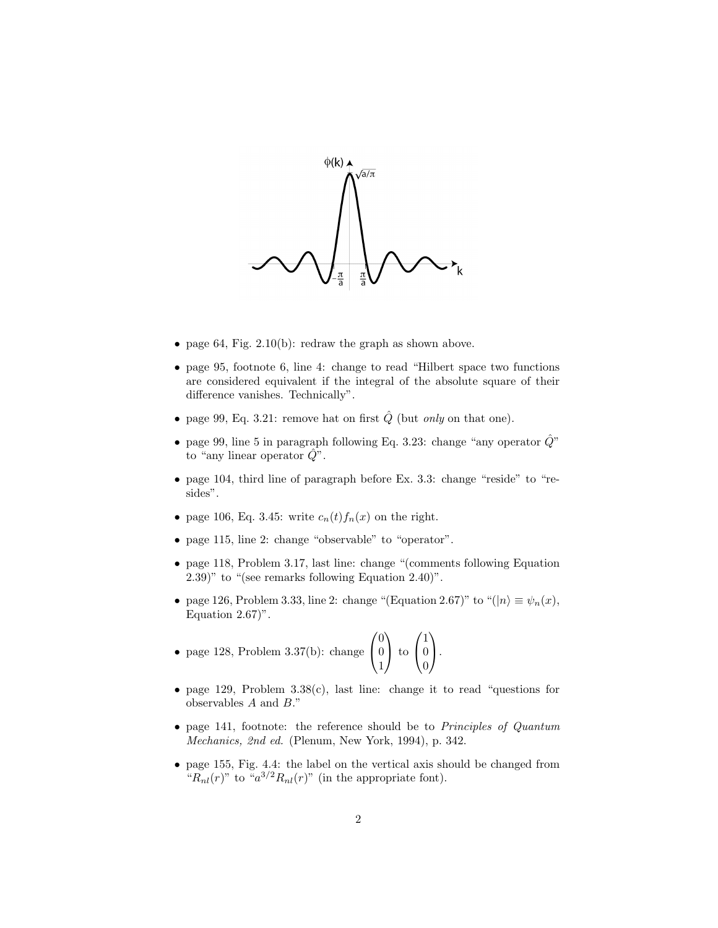

- page 64, Fig. 2.10(b): redraw the graph as shown above.
- page 95, footnote 6, line 4: change to read "Hilbert space two functions are considered equivalent if the integral of the absolute square of their difference vanishes. Technically".
- page 99, Eq. 3.21: remove hat on first  $\hat{Q}$  (but *only* on that one).
- page 99, line 5 in paragraph following Eq. 3.23: change "any operator  $\hat{Q}$ " to "any linear operator  $Q$ ".
- page 104, third line of paragraph before Ex. 3.3: change "reside" to "resides".
- page 106, Eq. 3.45: write  $c_n(t) f_n(x)$  on the right.
- page 115, line 2: change "observable" to "operator".
- page 118, Problem 3.17, last line: change "(comments following Equation 2.39)" to "(see remarks following Equation 2.40)".
- page 126, Problem 3.33, line 2: change "(Equation 2.67)" to "( $|n\rangle \equiv \psi_n(x)$ , Equation  $2.67$ ".

• page 128, Problem 3.37(b): change 
$$
\begin{pmatrix} 0 \\ 0 \\ 1 \end{pmatrix}
$$
 to  $\begin{pmatrix} 1 \\ 0 \\ 0 \end{pmatrix}$ .

- page 129, Problem 3.38(c), last line: change it to read "questions for observables A and B."
- page 141, footnote: the reference should be to *Principles of Quantum* Mechanics, 2nd ed. (Plenum, New York, 1994), p. 342.
- page 155, Fig. 4.4: the label on the vertical axis should be changed from " $R_{nl}(r)$ " to " $a^{3/2}R_{nl}(r)$ " (in the appropriate font).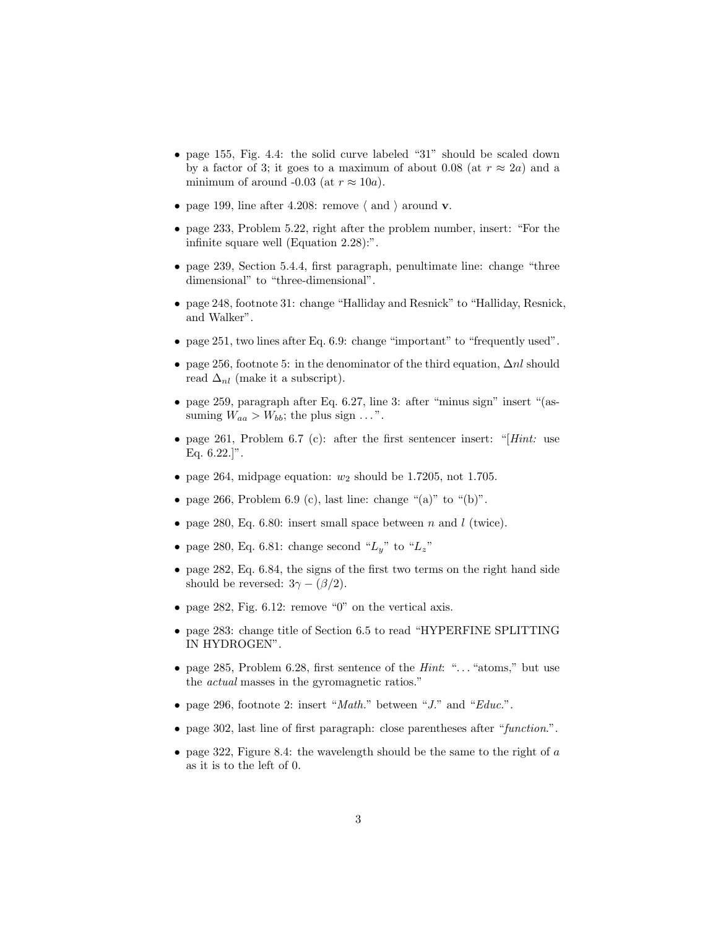- page 155, Fig. 4.4: the solid curve labeled "31" should be scaled down by a factor of 3; it goes to a maximum of about 0.08 (at  $r \approx 2a$ ) and a minimum of around -0.03 (at  $r \approx 10a$ ).
- page 199, line after 4.208: remove  $\langle$  and  $\rangle$  around **v**.
- page 233, Problem 5.22, right after the problem number, insert: "For the infinite square well (Equation 2.28):".
- page 239, Section 5.4.4, first paragraph, penultimate line: change "three dimensional" to "three-dimensional".
- page 248, footnote 31: change "Halliday and Resnick" to "Halliday, Resnick, and Walker".
- page 251, two lines after Eq. 6.9: change "important" to "frequently used".
- page 256, footnote 5: in the denominator of the third equation,  $\Delta nl$  should read  $\Delta_{nl}$  (make it a subscript).
- page 259, paragraph after Eq. 6.27, line 3: after "minus sign" insert "(assuming  $W_{aa} > W_{bb}$ ; the plus sign ...".
- page 261, Problem 6.7 (c): after the first sentencer insert: "[ $Hint$ : use Eq.  $6.22$ .]".
- page 264, midpage equation:  $w_2$  should be 1.7205, not 1.705.
- page 266, Problem 6.9 (c), last line: change "(a)" to "(b)".
- page 280, Eq. 6.80: insert small space between n and l (twice).
- page 280, Eq. 6.81: change second " $L_y$ " to " $L_z$ "
- page 282, Eq. 6.84, the signs of the first two terms on the right hand side should be reversed:  $3\gamma - (\beta/2)$ .
- page 282, Fig.  $6.12$ : remove "0" on the vertical axis.
- page 283: change title of Section 6.5 to read "HYPERFINE SPLITTING IN HYDROGEN".
- page 285, Problem 6.28, first sentence of the *Hint*: " $\dots$  "atoms," but use the actual masses in the gyromagnetic ratios."
- page 296, footnote 2: insert "*Math.*" between "*J.*" and "*Educ.*".
- page 302, last line of first paragraph: close parentheses after "function.".
- page 322, Figure 8.4: the wavelength should be the same to the right of  $a$ as it is to the left of 0.